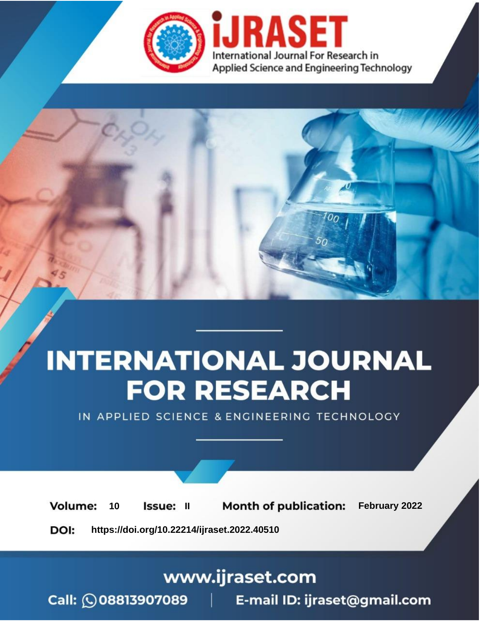

# **INTERNATIONAL JOURNAL FOR RESEARCH**

IN APPLIED SCIENCE & ENGINEERING TECHNOLOGY

**Month of publication:** February 2022 **Volume:** 10 **Issue: II** DOI: https://doi.org/10.22214/ijraset.2022.40510

www.ijraset.com

 $Call: \bigcirc$ 08813907089 E-mail ID: ijraset@gmail.com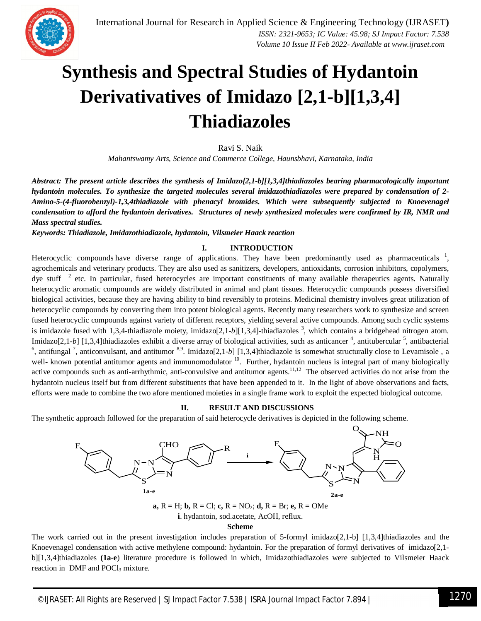

### **Synthesis and Spectral Studies of Hydantoin Derivativatives of Imidazo [2,1-b][1,3,4] Thiadiazoles**

Ravi S. Naik

*Mahantswamy Arts, Science and Commerce College, Haunsbhavi, Karnataka, India*

*Abstract: The present article describes the synthesis of Imidazo[2,1-b][1,3,4]thiadiazoles bearing pharmacologically important hydantoin molecules. To synthesize the targeted molecules several imidazothiadiazoles were prepared by condensation of 2- Amino-5-(4-fluorobenzyl)-1,3,4thiadiazole with phenacyl bromides. Which were subsequently subjected to Knoevenagel condensation to afford the hydantoin derivatives. Structures of newly synthesized molecules were confirmed by IR, NMR and Mass spectral studies.*

*Keywords: Thiadiazole, Imidazothiadiazole, hydantoin, Vilsmeier Haack reaction*

#### **I. INTRODUCTION**

Heterocyclic compounds have diverse range of applications. They have been predominantly used as pharmaceuticals  $\frac{1}{1}$ , agrochemicals and veterinary products. They are also used as sanitizers, developers, antioxidants, corrosion inhibitors, copolymers, dye stuff  $2$  etc. In particular, fused heterocycles are important constituents of many available therapeutics agents. Naturally heterocyclic aromatic compounds are widely distributed in animal and plant tissues. Heterocyclic compounds possess diversified biological activities, because they are having ability to bind reversibly to proteins. Medicinal chemistry involves great utilization of heterocyclic compounds by converting them into potent biological agents. Recently many researchers work to synthesize and screen fused heterocyclic compounds against variety of different receptors, yielding several active compounds. Among such cyclic systems is imidazole fused with 1,3,4-thiadiazole moiety, imidazo[2,1-b][1,3,4]-thiadiazoles <sup>3</sup>, which contains a bridgehead nitrogen atom. Imidazo[2,1-b] [1,3,4]thiadiazoles exhibit a diverse array of biological activities, such as anticancer <sup>4</sup>, antitubercular <sup>5</sup>, antibacterial <sup>6</sup>, antifungal<sup>7</sup>, anticonvulsant, and antitumor  $8,9$ . Imidazo[2,1-b] [1,3,4]thiadiazole is somewhat structurally close to Levamisole, a well- known potential antitumor agents and immunomodulator <sup>10</sup>. Further, hydantoin nucleus is integral part of many biologically active compounds such as anti-arrhythmic, anti-convulsive and antitumor agents.<sup>11,12</sup> The observed activities do not arise from the hydantoin nucleus itself but from different substituents that have been appended to it. In the light of above observations and facts, efforts were made to combine the two afore mentioned moieties in a single frame work to exploit the expected biological outcome.

#### **II. RESULT AND DISCUSSIONS**

The synthetic approach followed for the preparation of said heterocycle derivatives is depicted in the following scheme.



**Scheme** 

The work carried out in the present investigation includes preparation of 5-formyl imidazo[2,1-b] [1,3,4]thiadiazoles and the Knoevenagel condensation with active methylene compound: hydantoin. For the preparation of formyl derivatives of imidazo[2,1 b][1,3,4]thiadiazoles **(1a-e**) literature procedure is followed in which, Imidazothiadiazoles were subjected to Vilsmeier Haack reaction in DMF and POCl<sub>3</sub> mixture.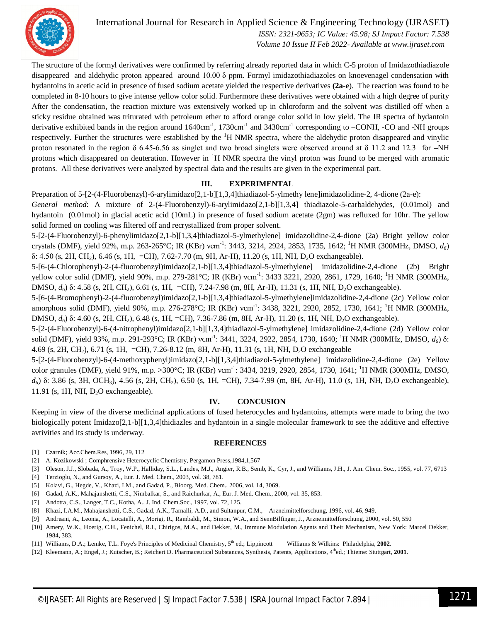

International Journal for Research in Applied Science & Engineering Technology (IJRASET**)**

 *ISSN: 2321-9653; IC Value: 45.98; SJ Impact Factor: 7.538 Volume 10 Issue II Feb 2022- Available at www.ijraset.com*

The structure of the formyl derivatives were confirmed by referring already reported data in which C-5 proton of Imidazothiadiazole disappeared and aldehydic proton appeared around  $10.00 \delta$  ppm. Formyl imidazothiadiazoles on knoevenagel condensation with hydantoins in acetic acid in presence of fused sodium acetate yielded the respective derivatives **(2a-e**). The reaction was found to be completed in 8-10 hours to give intense yellow color solid. Furthermore these derivatives were obtained with a high degree of purity After the condensation, the reaction mixture was extensively worked up in chloroform and the solvent was distilled off when a sticky residue obtained was triturated with petroleum ether to afford orange color solid in low yield. The IR spectra of hydantoin derivative exhibited bands in the region around  $1640 \text{cm}^{-1}$ ,  $1730 \text{cm}^{-1}$  and  $3430 \text{cm}^{-1}$  corresponding to  $-{\rm CONH}$ ,  $-{\rm CO}$  and  $-{\rm NH}$  groups respectively. Further the structures were established by the <sup>1</sup>H NMR spectra, where the aldehydic proton disappeared and vinylic proton resonated in the region  $\delta$  6.45-6.56 as singlet and two broad singlets were observed around at  $\delta$  11.2 and 12.3 for –NH protons which disappeared on deuteration. However in  $H$  NMR spectra the vinyl proton was found to be merged with aromatic protons. All these derivatives were analyzed by spectral data and the results are given in the experimental part.

#### **III. EXPERIMENTAL**

Preparation of 5-[2-(4-Fluorobenzyl)-6-arylimidazo[2,1-b][1,3,4]thiadiazol-5-ylmethy lene]imidazolidine-2, 4-dione (2a-e):

*General method*: A mixture of 2-(4-Fluorobenzyl)-6-arylimidazo[2,1-b][1,3,4] thiadiazole-5-carbaldehydes, (0.01mol) and hydantoin (0.01mol) in glacial acetic acid (10mL) in presence of fused sodium acetate (2gm) was refluxed for 10hr. The yellow solid formed on cooling was filtered off and recrystallized from proper solvent.

5-[2-(4-Fluorobenzyl)-6-phenylimidazo[2,1-b][1,3,4]thiadiazol-5-ylmethylene] imidazolidine-2,4-dione (2a) Bright yellow color crystals (DMF), yield 92%, m.p. 263-265°C; IR (KBr) νcm-1 : 3443, 3214, 2924, 2853, 1735, 1642; <sup>1</sup>H NMR (300MHz, DMSO, *d6*)  $\delta$ : 4.50 (s, 2H, CH<sub>2</sub>), 6.46 (s, 1H, =CH), 7.62-7.70 (m, 9H, Ar-H), 11.20 (s, 1H, NH, D<sub>2</sub>O exchangeable).

5-[6-(4-Chlorophenyl)-2-(4-fluorobenzyl)imidazo[2,1-b][1,3,4]thiadiazol-5-ylmethylene] imidazolidine-2,4-dione (2b) Bright yellow color solid (DMF), yield 90%, m.p. 279-281°C; IR (KBr) vcm<sup>-1</sup>: 3433 3221, 2920, 2861, 1729, 1640; <sup>1</sup>H NMR (300MHz, DMSO,  $d_6$ ) δ: 4.58 (s, 2H, CH<sub>2</sub>), 6.61 (s, 1H, =CH), 7.24-7.98 (m, 8H, Ar-H), 11.31 (s, 1H, NH, D<sub>2</sub>O exchangeable).

5-[6-(4-Bromophenyl)-2-(4-fluorobenzyl)imidazo[2,1-b][1,3,4]thiadiazol-5-ylmethylene]imidazolidine-2,4-dione (2c) Yellow color amorphous solid (DMF), yield 90%, m.p. 276-278°C; IR (KBr) vcm<sup>-1</sup>: 3438, 3221, 2920, 2852, 1730, 1641; <sup>1</sup>H NMR (300MHz, DMSO,  $d_6$ ) δ: 4.60 (s, 2H, CH<sub>2</sub>), 6.48 (s, 1H, =CH), 7.36-7.86 (m, 8H, Ar-H), 11.20 (s, 1H, NH, D<sub>2</sub>O exchangeable).

5-[2-(4-Fluorobenzyl)-6-(4-nitrophenyl)imidazo[2,1-b][1,3,4]thiadiazol-5-ylmethylene] imidazolidine-2,4-dione (2d) Yellow color solid (DMF), yield 93%, m.p. 291-293°C; IR (KBr) vcm<sup>-1</sup>: 3441, 3224, 2922, 2854, 1730, 1640; <sup>1</sup>H NMR (300MHz, DMSO, *d*<sub>6</sub>) δ: 4.69 (s, 2H, CH2), 6.71 (s, 1H, =CH), 7.26-8.12 (m, 8H, Ar-H), 11.31 (s, 1H, NH, D2O exchangeable

5-[2-(4-Fluorobenzyl)-6-(4-methoxyphenyl)imidazo[2,1-b][1,3,4]thiadiazol-5-ylmethylene] imidazolidine-2,4-dione (2e) Yellow color granules (DMF), yield 91%, m.p. >300°C; IR (KBr) vcm<sup>-1</sup>: 3434, 3219, 2920, 2854, 1730, 1641; <sup>1</sup>H NMR (300MHz, DMSO,  $d$ <sup>6</sup>) δ: 3.86 (s, 3H, OCH<sub>3</sub>), 4.56 (s, 2H, CH<sub>2</sub>), 6.50 (s, 1H, =CH), 7.34-7.99 (m, 8H, Ar-H), 11.0 (s, 1H, NH, D<sub>2</sub>O exchangeable), 11.91 (s, 1H, NH, D2O exchangeable).

#### **IV. CONCUSION**

Keeping in view of the diverse medicinal applications of fused heterocycles and hydantoins, attempts were made to bring the two biologically potent Imidazo[2,1-b][1,3,4]thidiazles and hydantoin in a single molecular framework to see the additive and effective avtivities and its study is underway.

#### **REFERENCES**

- [1] Czarnik; Acc.Chem.Res, 1996, 29, 112
- [2] A. Kozikowski ; Comphrensive Heterocyclic Chemistry, Pergamon Press,1984,1,567
- [3] Oleson, J.J., Slobada, A., Troy, W.P., Halliday, S.L., Landes, M.J., Angier, R.B., Semb, K., Cyr, J., and Williams, J.H., J. Am. Chem. Soc., 1955, vol. 77, 6713
- [4] Terzioglu, N., and Gursoy, A., Eur. J. Med. Chem., 2003, vol. 38, 781.
- [5] Kolavi, G., Hegde, V., Khazi, I.M., and Gadad, P., Bioorg. Med. Chem., 2006, vol. 14, 3069.
- [6] Gadad, A.K., Mahajanshetti, C.S., Nimbalkar, S., and Raichurkar, A., Eur. J. Med. Chem., 2000, vol. 35, 853.
- [7] Andotra, C.S., Langer, T.C., Kotha, A., J. Ind. Chem.Soc., 1997, vol. 72, 125.
- [8] Khazi, I.A.M., Mahajanshetti, C.S., Gadad, A.K., Tarnalli, A.D., and Sultanpur, C.M., Arzneimittelforschung, 1996, vol. 46, 949.
- [9] Andreani, A., Leonia, A., Locatelli, A., Morigi, R., Rambaldi, M., Simon, W.A., and SennBilfinger, J., Arzneimittelforschung, 2000, vol. 50, 550
- [10] Amery, W.K., Hoerig, C.H., Fenichel, R.I., Chirigos, M.A., and Dekker, M., Immune Modulation Agents and Their Mechanism, New York: Marcel Dekker, 1984, 383.
- [11] Williams, D.A.; Lemke, T.L. Foye's Principles of Medicinal Chemistry,  $5^{th}$  ed.; Lippincott Williams & Wilkins: Philadelphia, 2002.
- [12] Kleemann, A.; Engel, J.; Kutscher, B.; Reichert D. Pharmaceutical Substances, Synthesis, Patents, Applications, 4 thed.; Thieme: Stuttgart, **2001**.